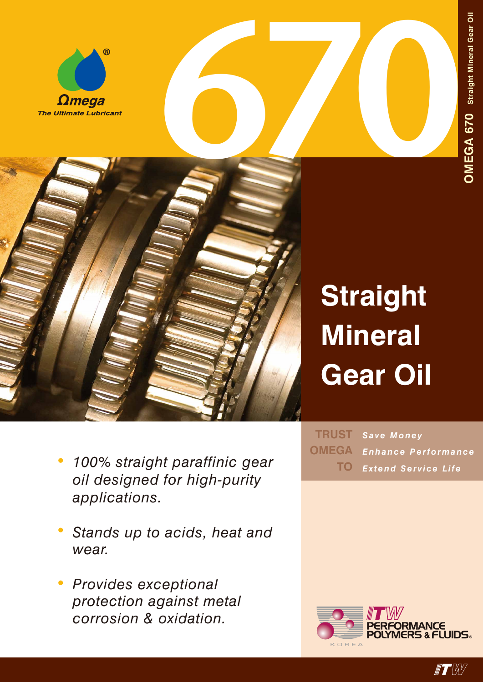



## **Straight Mineral Gear Oil**

- *• 100% straight paraffinic gear oil designed for high-purity applications.*
- *• Stands up to acids, heat and wear.*
- *• Provides exceptional protection against metal corrosion & oxidation.*

*Save Money Enhance Performance Extend Service Life* **TRUST OMEGA TO**



**IF EXTERNAL**